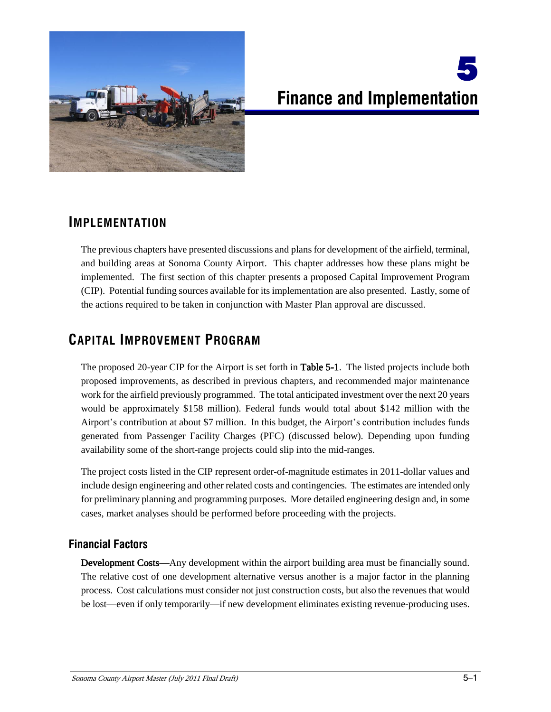

# 5 **Finance and Implementation**

## **IMPLEMENTATION**

The previous chapters have presented discussions and plans for development of the airfield, terminal, and building areas at Sonoma County Airport. This chapter addresses how these plans might be implemented. The first section of this chapter presents a proposed Capital Improvement Program (CIP). Potential funding sources available for its implementation are also presented. Lastly, some of the actions required to be taken in conjunction with Master Plan approval are discussed.

## **CAPITAL IMPROVEMENT PROGRAM**

The proposed 20-year CIP for the Airport is set forth in **Table 5-1**. The listed projects include both proposed improvements, as described in previous chapters, and recommended major maintenance work for the airfield previously programmed. The total anticipated investment over the next 20 years would be approximately \$158 million). Federal funds would total about \$142 million with the Airport's contribution at about \$7 million. In this budget, the Airport's contribution includes funds generated from Passenger Facility Charges (PFC) (discussed below). Depending upon funding availability some of the short-range projects could slip into the mid-ranges.

The project costs listed in the CIP represent order-of-magnitude estimates in 2011-dollar values and include design engineering and other related costs and contingencies. The estimates are intended only for preliminary planning and programming purposes. More detailed engineering design and, in some cases, market analyses should be performed before proceeding with the projects.

## **Financial Factors**

Development Costs—Any development within the airport building area must be financially sound. The relative cost of one development alternative versus another is a major factor in the planning process. Cost calculations must consider not just construction costs, but also the revenues that would be lost—even if only temporarily—if new development eliminates existing revenue-producing uses.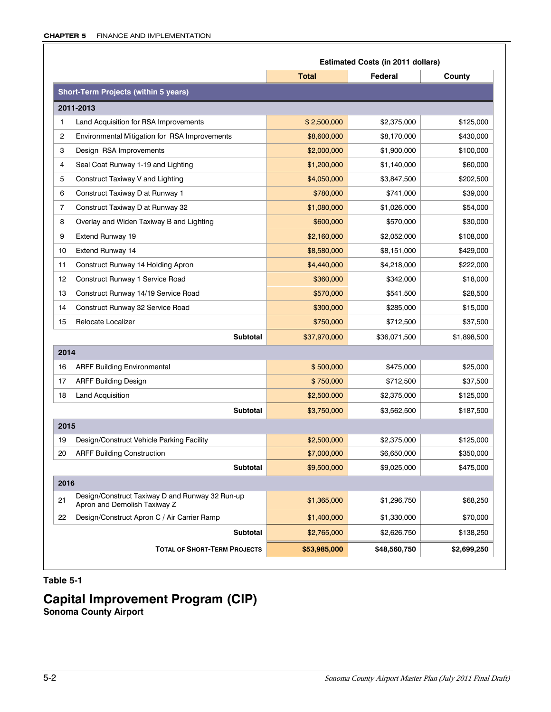|                |                                                                                 | <b>Estimated Costs (in 2011 dollars)</b> |              |             |  |
|----------------|---------------------------------------------------------------------------------|------------------------------------------|--------------|-------------|--|
|                |                                                                                 | <b>Total</b>                             | Federal      | County      |  |
|                | <b>Short-Term Projects (within 5 years)</b>                                     |                                          |              |             |  |
|                | 2011-2013                                                                       |                                          |              |             |  |
| 1              | Land Acquisition for RSA Improvements                                           | \$2,500,000                              | \$2,375,000  | \$125,000   |  |
| $\overline{c}$ | Environmental Mitigation for RSA Improvements                                   | \$8,600,000                              | \$8,170,000  | \$430,000   |  |
| 3              | Design RSA Improvements                                                         | \$2,000,000                              | \$1,900,000  | \$100,000   |  |
| 4              | Seal Coat Runway 1-19 and Lighting                                              | \$1,200,000                              | \$1,140,000  | \$60,000    |  |
| 5              | Construct Taxiway V and Lighting                                                | \$4,050,000                              | \$3,847,500  | \$202,500   |  |
| 6              | Construct Taxiway D at Runway 1                                                 | \$780,000                                | \$741,000    | \$39,000    |  |
| $\overline{7}$ | Construct Taxiway D at Runway 32                                                | \$1,080,000                              | \$1,026,000  | \$54,000    |  |
| 8              | Overlay and Widen Taxiway B and Lighting                                        | \$600,000                                | \$570,000    | \$30,000    |  |
| 9              | Extend Runway 19                                                                | \$2,160,000                              | \$2,052,000  | \$108,000   |  |
| 10             | <b>Extend Runway 14</b>                                                         | \$8,580,000                              | \$8,151,000  | \$429,000   |  |
| 11             | Construct Runway 14 Holding Apron                                               | \$4,440,000                              | \$4,218,000  | \$222,000   |  |
| 12             | Construct Runway 1 Service Road                                                 | \$360,000                                | \$342,000    | \$18,000    |  |
| 13             | Construct Runway 14/19 Service Road                                             | \$570,000                                | \$541.500    | \$28,500    |  |
| 14             | Construct Runway 32 Service Road                                                | \$300,000                                | \$285,000    | \$15,000    |  |
| 15             | Relocate Localizer                                                              | \$750,000                                | \$712,500    | \$37,500    |  |
|                | <b>Subtotal</b>                                                                 | \$37,970,000                             | \$36,071,500 | \$1,898,500 |  |
| 2014           |                                                                                 |                                          |              |             |  |
| 16             | <b>ARFF Building Environmental</b>                                              | \$500,000                                | \$475,000    | \$25,000    |  |
| 17             | <b>ARFF Building Design</b>                                                     | \$750,000                                | \$712,500    | \$37,500    |  |
| 18             | Land Acquisition                                                                | \$2,500.000                              | \$2,375,000  | \$125,000   |  |
|                | <b>Subtotal</b>                                                                 | \$3,750,000                              | \$3,562,500  | \$187,500   |  |
| 2015           |                                                                                 |                                          |              |             |  |
| 19             | Design/Construct Vehicle Parking Facility                                       | \$2,500,000                              | \$2,375,000  | \$125,000   |  |
| 20             | <b>ARFF Building Construction</b>                                               | \$7,000,000                              | \$6,650,000  | \$350,000   |  |
|                | <b>Subtotal</b>                                                                 | \$9,500,000                              | \$9,025,000  | \$475,000   |  |
| 2016           |                                                                                 |                                          |              |             |  |
| 21             | Design/Construct Taxiway D and Runway 32 Run-up<br>Apron and Demolish Taxiway Z | \$1,365,000                              | \$1,296,750  | \$68,250    |  |
| 22             | Design/Construct Apron C / Air Carrier Ramp                                     | \$1,400,000                              | \$1,330,000  | \$70,000    |  |
|                | <b>Subtotal</b>                                                                 | \$2,765,000                              | \$2,626.750  | \$138,250   |  |
|                | <b>TOTAL OF SHORT-TERM PROJECTS</b>                                             | \$53,985,000                             | \$48,560,750 | \$2,699,250 |  |

#### **Table 5-1**

## **Capital Improvement Program (CIP)**

**Sonoma County Airport**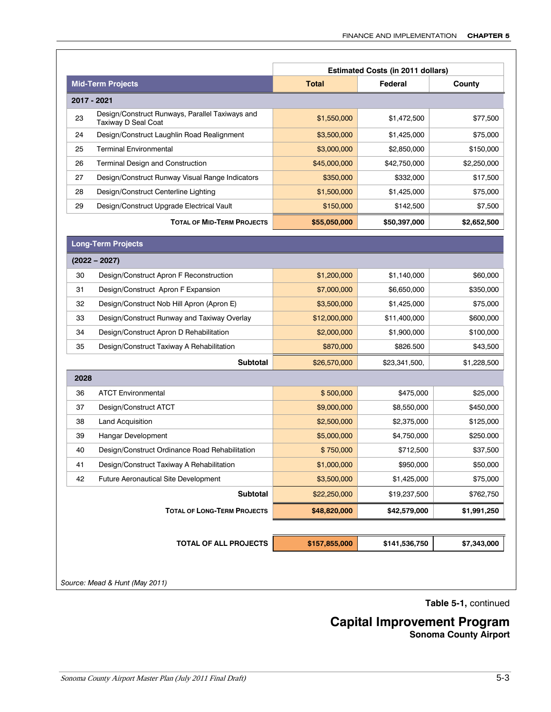|                          |                                                                        | <b>Estimated Costs (in 2011 dollars)</b> |               |             |  |
|--------------------------|------------------------------------------------------------------------|------------------------------------------|---------------|-------------|--|
| <b>Mid-Term Projects</b> |                                                                        | <b>Total</b>                             | Federal       | County      |  |
|                          | 2017 - 2021                                                            |                                          |               |             |  |
| 23                       | Design/Construct Runways, Parallel Taxiways and<br>Taxiway D Seal Coat | \$1,550,000                              | \$1,472,500   | \$77,500    |  |
| 24                       | Design/Construct Laughlin Road Realignment                             | \$3,500,000                              | \$1,425,000   | \$75,000    |  |
| 25                       | <b>Terminal Environmental</b>                                          | \$3,000,000                              | \$2,850,000   | \$150,000   |  |
| 26                       | <b>Terminal Design and Construction</b>                                | \$45,000,000                             | \$42,750,000  | \$2,250,000 |  |
| 27                       | Design/Construct Runway Visual Range Indicators                        | \$350,000                                | \$332,000     | \$17,500    |  |
| 28                       | Design/Construct Centerline Lighting                                   | \$1,500,000                              | \$1,425,000   | \$75,000    |  |
| 29                       | Design/Construct Upgrade Electrical Vault                              | \$150,000                                | \$142,500     | \$7,500     |  |
|                          | <b>TOTAL OF MID-TERM PROJECTS</b>                                      | \$55,050,000                             | \$50,397,000  | \$2,652,500 |  |
|                          | <b>Long-Term Projects</b>                                              |                                          |               |             |  |
|                          | $(2022 - 2027)$                                                        |                                          |               |             |  |
| 30                       | Design/Construct Apron F Reconstruction                                | \$1,200,000                              | \$1,140,000   | \$60,000    |  |
| 31                       | Design/Construct Apron F Expansion                                     | \$7,000,000                              | \$6,650,000   | \$350,000   |  |
| 32                       | Design/Construct Nob Hill Apron (Apron E)                              | \$3,500,000                              | \$1,425,000   | \$75,000    |  |
| 33                       | Design/Construct Runway and Taxiway Overlay                            | \$12,000,000                             | \$11,400,000  | \$600,000   |  |
| 34                       | Design/Construct Apron D Rehabilitation                                | \$2,000,000                              | \$1,900,000   | \$100,000   |  |
| 35                       | Design/Construct Taxiway A Rehabilitation                              | \$870,000                                | \$826.500     | \$43,500    |  |
|                          | <b>Subtotal</b>                                                        | \$26,570,000                             | \$23,341,500, | \$1,228,500 |  |
| 2028                     |                                                                        |                                          |               |             |  |
| 36                       | <b>ATCT Environmental</b>                                              | \$500,000                                | \$475,000     | \$25,000    |  |
| 37                       | Design/Construct ATCT                                                  | \$9,000,000                              | \$8,550,000   | \$450,000   |  |
| 38                       | <b>Land Acquisition</b>                                                | \$2,500,000                              | \$2,375,000   | \$125,000   |  |
| 39                       | <b>Hangar Development</b>                                              | \$5,000,000                              | \$4,750,000   | \$250.000   |  |
| 40                       | Design/Construct Ordinance Road Rehabilitation                         | \$750,000                                | \$712,500     | \$37,500    |  |
| 41                       | Design/Construct Taxiway A Rehabilitation                              | \$1,000,000                              | \$950,000     | \$50,000    |  |
| 42                       | <b>Future Aeronautical Site Development</b>                            | \$3,500,000                              | \$1,425,000   | \$75,000    |  |
|                          | Subtotal                                                               | \$22,250,000                             | \$19,237,500  | \$762,750   |  |
|                          | <b>TOTAL OF LONG-TERM PROJECTS</b>                                     | \$48,820,000                             | \$42,579,000  | \$1,991,250 |  |
|                          |                                                                        |                                          |               |             |  |
|                          | <b>TOTAL OF ALL PROJECTS</b>                                           | \$157,855,000                            | \$141,536,750 | \$7,343,000 |  |

**Table 5-1,** continued

**Capital Improvement Program**

**Sonoma County Airport**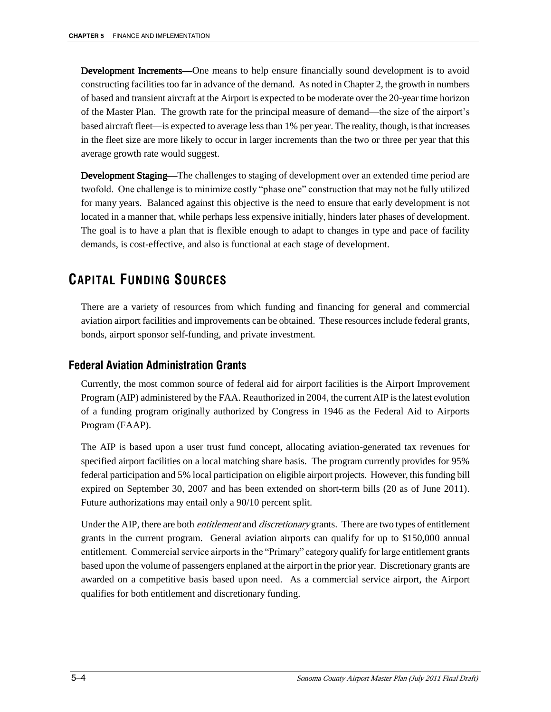Development Increments—One means to help ensure financially sound development is to avoid constructing facilities too far in advance of the demand. As noted in Chapter 2, the growth in numbers of based and transient aircraft at the Airport is expected to be moderate over the 20-year time horizon of the Master Plan. The growth rate for the principal measure of demand—the size of the airport's based aircraft fleet—is expected to average less than 1% per year. The reality, though, is that increases in the fleet size are more likely to occur in larger increments than the two or three per year that this average growth rate would suggest.

Development Staging—The challenges to staging of development over an extended time period are twofold. One challenge is to minimize costly "phase one" construction that may not be fully utilized for many years. Balanced against this objective is the need to ensure that early development is not located in a manner that, while perhaps less expensive initially, hinders later phases of development. The goal is to have a plan that is flexible enough to adapt to changes in type and pace of facility demands, is cost-effective, and also is functional at each stage of development.

# **CAPITAL FUNDING SOURCES**

There are a variety of resources from which funding and financing for general and commercial aviation airport facilities and improvements can be obtained. These resources include federal grants, bonds, airport sponsor self-funding, and private investment.

## **Federal Aviation Administration Grants**

Currently, the most common source of federal aid for airport facilities is the Airport Improvement Program (AIP) administered by the FAA. Reauthorized in 2004, the current AIP is the latest evolution of a funding program originally authorized by Congress in 1946 as the Federal Aid to Airports Program (FAAP).

The AIP is based upon a user trust fund concept, allocating aviation-generated tax revenues for specified airport facilities on a local matching share basis. The program currently provides for 95% federal participation and 5% local participation on eligible airport projects. However, this funding bill expired on September 30, 2007 and has been extended on short-term bills (20 as of June 2011). Future authorizations may entail only a 90/10 percent split.

Under the AIP, there are both *entitlement* and *discretionary* grants. There are two types of entitlement grants in the current program. General aviation airports can qualify for up to \$150,000 annual entitlement. Commercial service airports in the "Primary" category qualify for large entitlement grants based upon the volume of passengers enplaned at the airport in the prior year. Discretionary grants are awarded on a competitive basis based upon need. As a commercial service airport, the Airport qualifies for both entitlement and discretionary funding.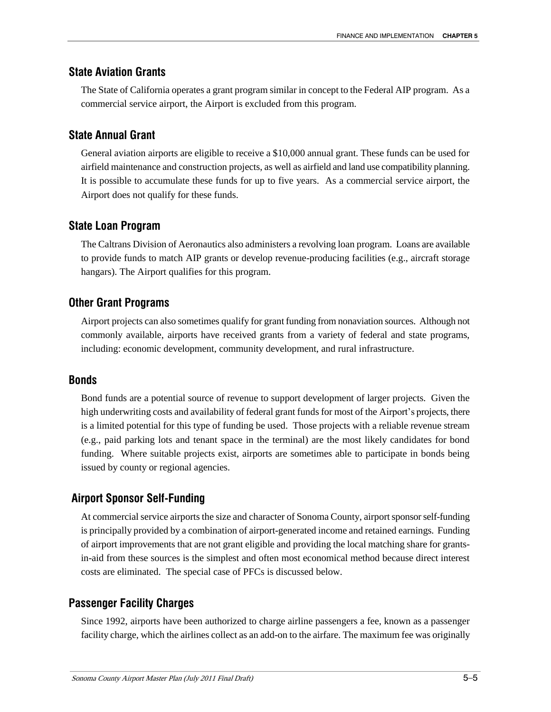#### **State Aviation Grants**

The State of California operates a grant program similar in concept to the Federal AIP program. As a commercial service airport, the Airport is excluded from this program.

#### **State Annual Grant**

General aviation airports are eligible to receive a \$10,000 annual grant. These funds can be used for airfield maintenance and construction projects, as well as airfield and land use compatibility planning. It is possible to accumulate these funds for up to five years. As a commercial service airport, the Airport does not qualify for these funds.

#### **State Loan Program**

The Caltrans Division of Aeronautics also administers a revolving loan program. Loans are available to provide funds to match AIP grants or develop revenue-producing facilities (e.g., aircraft storage hangars). The Airport qualifies for this program.

#### **Other Grant Programs**

Airport projects can also sometimes qualify for grant funding from nonaviation sources. Although not commonly available, airports have received grants from a variety of federal and state programs, including: economic development, community development, and rural infrastructure.

#### **Bonds**

Bond funds are a potential source of revenue to support development of larger projects. Given the high underwriting costs and availability of federal grant funds for most of the Airport's projects, there is a limited potential for this type of funding be used. Those projects with a reliable revenue stream (e.g., paid parking lots and tenant space in the terminal) are the most likely candidates for bond funding. Where suitable projects exist, airports are sometimes able to participate in bonds being issued by county or regional agencies.

#### **Airport Sponsor Self-Funding**

At commercial service airports the size and character of Sonoma County, airport sponsor self-funding is principally provided by a combination of airport-generated income and retained earnings. Funding of airport improvements that are not grant eligible and providing the local matching share for grantsin-aid from these sources is the simplest and often most economical method because direct interest costs are eliminated. The special case of PFCs is discussed below.

#### **Passenger Facility Charges**

Since 1992, airports have been authorized to charge airline passengers a fee, known as a passenger facility charge, which the airlines collect as an add-on to the airfare. The maximum fee was originally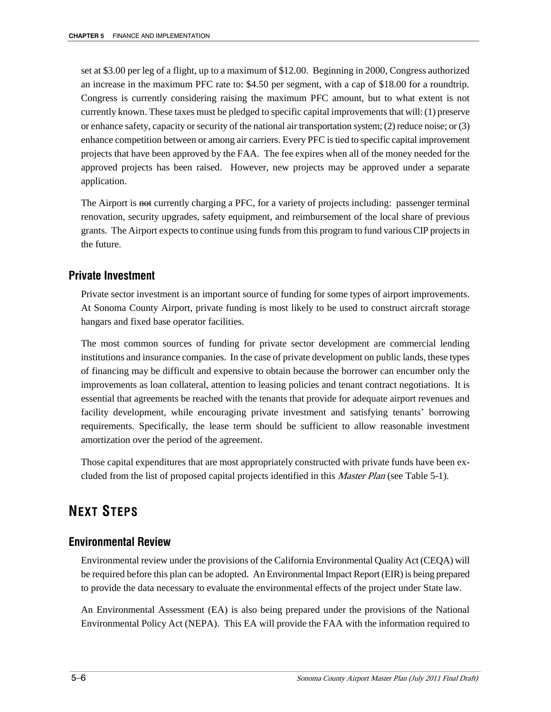set at \$3.00 per leg of a flight, up to a maximum of \$12.00. Beginning in 2000, Congress authorized an increase in the maximum PFC rate to: \$4.50 per segment, with a cap of \$18.00 for a roundtrip. Congress is currently considering raising the maximum PFC amount, but to what extent is not currently known. These taxes must be pledged to specific capital improvements that will: (1) preserve or enhance safety, capacity or security of the national air transportation system; (2) reduce noise; or (3) enhance competition between or among air carriers. Every PFC is tied to specific capital improvement projects that have been approved by the FAA. The fee expires when all of the money needed for the approved projects has been raised. However, new projects may be approved under a separate application.

The Airport is not currently charging a PFC, for a variety of projects including: passenger terminal renovation, security upgrades, safety equipment, and reimbursement of the local share of previous grants. The Airport expects to continue using funds from this program to fund various CIP projects in the future.

#### **Private Investment**

Private sector investment is an important source of funding for some types of airport improvements. At Sonoma County Airport, private funding is most likely to be used to construct aircraft storage hangars and fixed base operator facilities.

The most common sources of funding for private sector development are commercial lending institutions and insurance companies. In the case of private development on public lands, these types of financing may be difficult and expensive to obtain because the borrower can encumber only the improvements as loan collateral, attention to leasing policies and tenant contract negotiations. It is essential that agreements be reached with the tenants that provide for adequate airport revenues and facility development, while encouraging private investment and satisfying tenants' borrowing requirements. Specifically, the lease term should be sufficient to allow reasonable investment amortization over the period of the agreement.

Those capital expenditures that are most appropriately constructed with private funds have been excluded from the list of proposed capital projects identified in this *Master Plan* (see Table 5-1).

## **NEXT STEPS**

#### **Environmental Review**

Environmental review under the provisions of the California Environmental Quality Act (CEQA) will be required before this plan can be adopted. An Environmental Impact Report (EIR) is being prepared to provide the data necessary to evaluate the environmental effects of the project under State law.

An Environmental Assessment (EA) is also being prepared under the provisions of the National Environmental Policy Act (NEPA). This EA will provide the FAA with the information required to